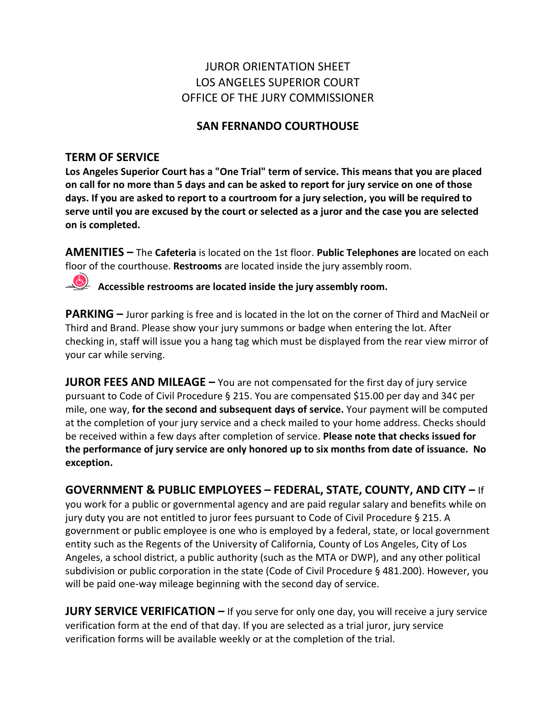# JUROR ORIENTATION SHEET LOS ANGELES SUPERIOR COURT OFFICE OF THE JURY COMMISSIONER

## **SAN FERNANDO COURTHOUSE**

## **TERM OF SERVICE**

**Los Angeles Superior Court has a "One Trial" term of service. This means that you are placed on call for no more than 5 days and can be asked to report for jury service on one of those days. If you are asked to report to a courtroom for a jury selection, you will be required to serve until you are excused by the court or selected as a juror and the case you are selected on is completed.** 

**AMENITIES –** The **Cafeteria** is located on the 1st floor. **Public Telephones are** located on each floor of the courthouse. **Restrooms** are located inside the jury assembly room.

**Accessible restrooms are located inside the jury assembly room.** 

**PARKING –** Juror parking is free and is located in the lot on the corner of Third and MacNeil or Third and Brand. Please show your jury summons or badge when entering the lot. After checking in, staff will issue you a hang tag which must be displayed from the rear view mirror of your car while serving.

**JUROR FEES AND MILEAGE** – You are not compensated for the first day of jury service pursuant to Code of Civil Procedure § 215. You are compensated \$15.00 per day and 34¢ per mile, one way, **for the second and subsequent days of service.** Your payment will be computed at the completion of your jury service and a check mailed to your home address. Checks should be received within a few days after completion of service. **Please note that checks issued for the performance of jury service are only honored up to six months from date of issuance. No exception.**

**GOVERNMENT & PUBLIC EMPLOYEES – FEDERAL, STATE, COUNTY, AND CITY –** If you work for a public or governmental agency and are paid regular salary and benefits while on jury duty you are not entitled to juror fees pursuant to Code of Civil Procedure § 215. A government or public employee is one who is employed by a federal, state, or local government entity such as the Regents of the University of California, County of Los Angeles, City of Los Angeles, a school district, a public authority (such as the MTA or DWP), and any other political subdivision or public corporation in the state (Code of Civil Procedure § 481.200). However, you will be paid one-way mileage beginning with the second day of service.

**JURY SERVICE VERIFICATION –** If you serve for only one day, you will receive a jury service verification form at the end of that day. If you are selected as a trial juror, jury service verification forms will be available weekly or at the completion of the trial.